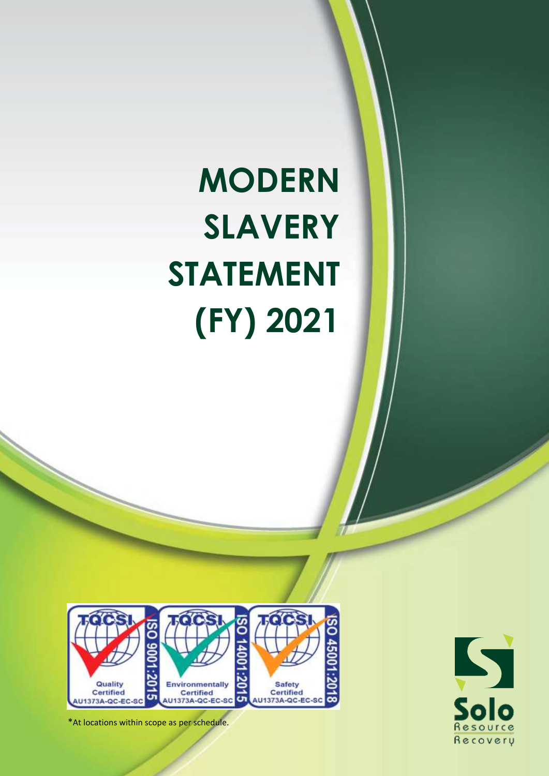# **MODERN SLAVERY STATEMENT (FY) 2021**





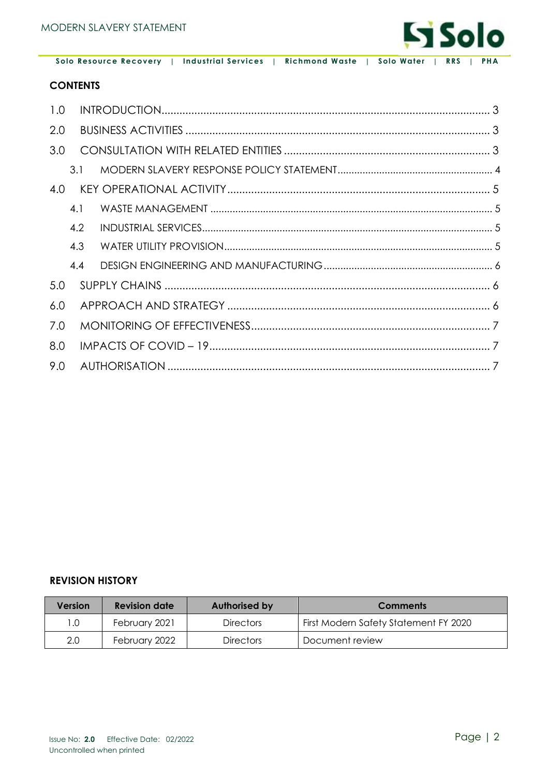

#### **CONTENTS**

| 1.0 |     |  |
|-----|-----|--|
| 2.0 |     |  |
| 3.0 |     |  |
|     | 3.1 |  |
| 4.0 |     |  |
|     | 4.1 |  |
|     | 4.2 |  |
|     | 4.3 |  |
|     | 4.4 |  |
| 5.0 |     |  |
| 6.0 |     |  |
| 7.0 |     |  |
| 8.0 |     |  |
| 9.0 |     |  |

#### **REVISION HISTORY**

| Version | <b>Revision date</b> | Authorised by    | <b>Comments</b>                       |
|---------|----------------------|------------------|---------------------------------------|
| 1.0     | February 2021        | <b>Directors</b> | First Modern Safety Statement FY 2020 |
| 2.0     | February 2022        | <b>Directors</b> | Document review                       |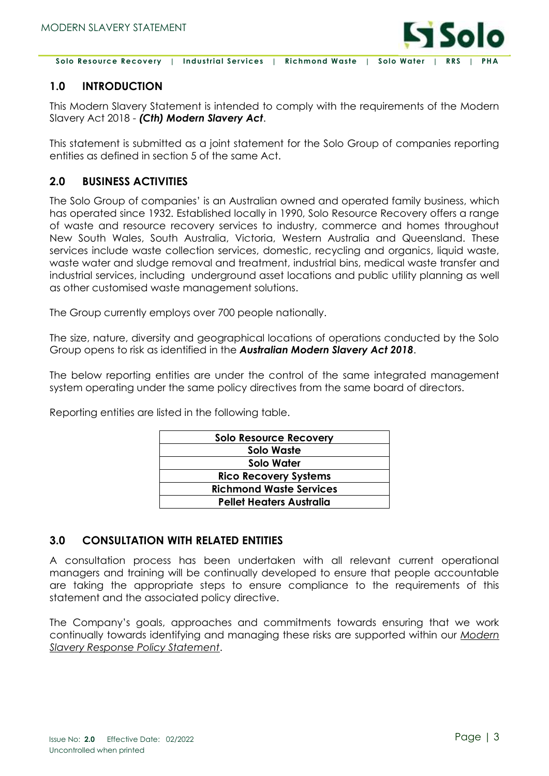

## <span id="page-2-0"></span>**1.0 INTRODUCTION**

This Modern Slavery Statement is intended to comply with the requirements of the Modern Slavery Act 2018 - *(Cth) Modern Slavery Act*.

This statement is submitted as a joint statement for the Solo Group of companies reporting entities as defined in section 5 of the same Act.

## <span id="page-2-1"></span>**2.0 BUSINESS ACTIVITIES**

The Solo Group of companies' is an Australian owned and operated family business, which has operated since 1932. Established locally in 1990, Solo Resource Recovery offers a range of waste and resource recovery services to industry, commerce and homes throughout New South Wales, South Australia, Victoria, Western Australia and Queensland. These services include waste collection services, domestic, recycling and organics, liquid waste, waste water and sludge removal and treatment, industrial bins, medical waste transfer and industrial services, including underground asset locations and public utility planning as well as other customised waste management solutions.

The Group currently employs over 700 people nationally.

The size, nature, diversity and geographical locations of operations conducted by the Solo Group opens to risk as identified in the *Australian Modern Slavery Act 2018*.

The below reporting entities are under the control of the same integrated management system operating under the same policy directives from the same board of directors.

| <b>Solo Resource Recovery</b>  |
|--------------------------------|
| Solo Waste                     |
| Solo Water                     |
| <b>Rico Recovery Systems</b>   |
| <b>Richmond Waste Services</b> |
| Pellet Heaters Australia       |

Reporting entities are listed in the following table.

## <span id="page-2-2"></span>**3.0 CONSULTATION WITH RELATED ENTITIES**

A consultation process has been undertaken with all relevant current operational managers and training will be continually developed to ensure that people accountable are taking the appropriate steps to ensure compliance to the requirements of this statement and the associated policy directive.

The Company's goals, approaches and commitments towards ensuring that we work continually towards identifying and managing these risks are supported within our *Modern Slavery Response Policy Statement*.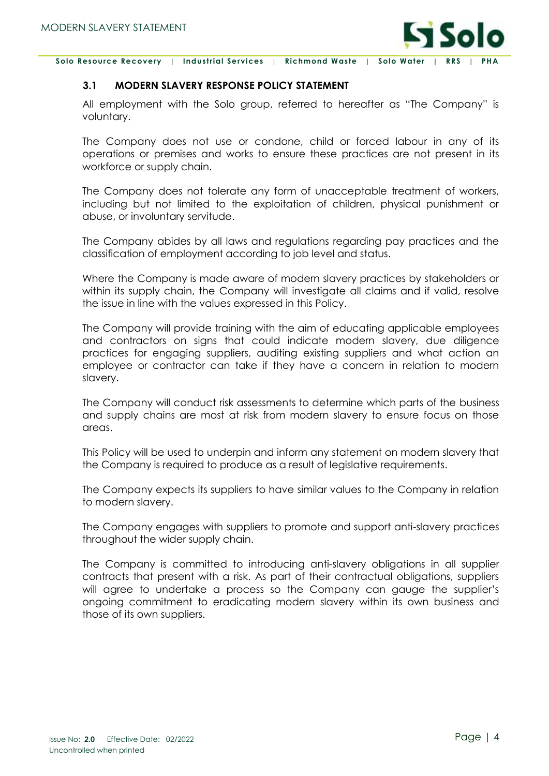

#### <span id="page-3-0"></span>**3.1 MODERN SLAVERY RESPONSE POLICY STATEMENT**

All employment with the Solo group, referred to hereafter as "The Company" is voluntary.

The Company does not use or condone, child or forced labour in any of its operations or premises and works to ensure these practices are not present in its workforce or supply chain.

The Company does not tolerate any form of unacceptable treatment of workers, including but not limited to the exploitation of children, physical punishment or abuse, or involuntary servitude.

The Company abides by all laws and regulations regarding pay practices and the classification of employment according to job level and status.

Where the Company is made aware of modern slavery practices by stakeholders or within its supply chain, the Company will investigate all claims and if valid, resolve the issue in line with the values expressed in this Policy.

The Company will provide training with the aim of educating applicable employees and contractors on signs that could indicate modern slavery, due diligence practices for engaging suppliers, auditing existing suppliers and what action an employee or contractor can take if they have a concern in relation to modern slavery.

The Company will conduct risk assessments to determine which parts of the business and supply chains are most at risk from modern slavery to ensure focus on those areas.

This Policy will be used to underpin and inform any statement on modern slavery that the Company is required to produce as a result of legislative requirements.

The Company expects its suppliers to have similar values to the Company in relation to modern slavery.

The Company engages with suppliers to promote and support anti-slavery practices throughout the wider supply chain.

The Company is committed to introducing anti-slavery obligations in all supplier contracts that present with a risk. As part of their contractual obligations, suppliers will agree to undertake a process so the Company can gauge the supplier's ongoing commitment to eradicating modern slavery within its own business and those of its own suppliers.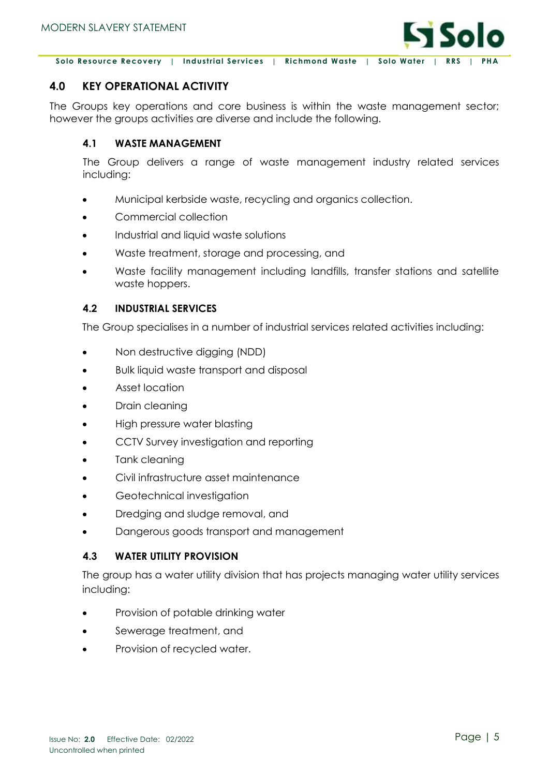

## <span id="page-4-0"></span>**4.0 KEY OPERATIONAL ACTIVITY**

The Groups key operations and core business is within the waste management sector; however the groups activities are diverse and include the following.

#### <span id="page-4-1"></span>**4.1 WASTE MANAGEMENT**

The Group delivers a range of waste management industry related services including:

- Municipal kerbside waste, recycling and organics collection.
- Commercial collection
- Industrial and liquid waste solutions
- Waste treatment, storage and processing, and
- Waste facility management including landfills, transfer stations and satellite waste hoppers.

#### <span id="page-4-2"></span>**4.2 INDUSTRIAL SERVICES**

The Group specialises in a number of industrial services related activities including:

- Non destructive digging (NDD)
- Bulk liquid waste transport and disposal
- Asset location
- Drain cleaning
- High pressure water blasting
- CCTV Survey investigation and reporting
- Tank cleaning
- Civil infrastructure asset maintenance
- Geotechnical investigation
- Dredging and sludge removal, and
- Dangerous goods transport and management

## <span id="page-4-3"></span>**4.3 WATER UTILITY PROVISION**

The group has a water utility division that has projects managing water utility services including:

- Provision of potable drinking water
- Sewerage treatment, and
- Provision of recycled water.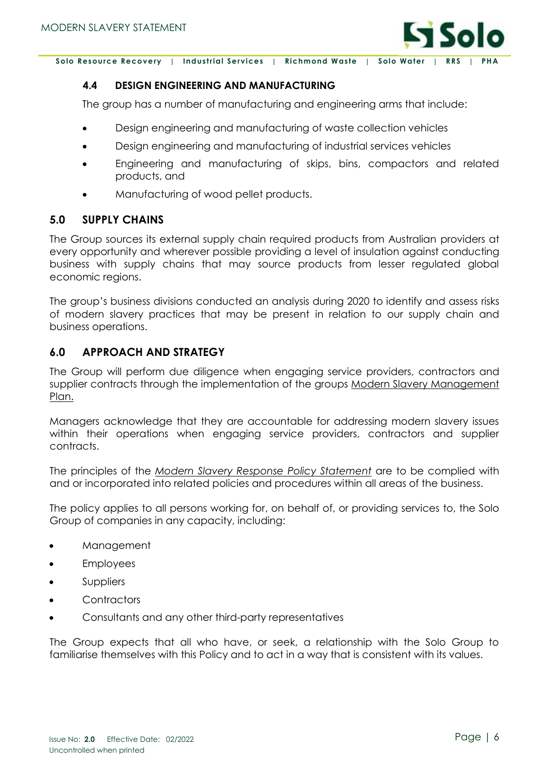

#### <span id="page-5-0"></span>**4.4 DESIGN ENGINEERING AND MANUFACTURING**

The group has a number of manufacturing and engineering arms that include:

- Design engineering and manufacturing of waste collection vehicles
- Design engineering and manufacturing of industrial services vehicles
- Engineering and manufacturing of skips, bins, compactors and related products, and
- Manufacturing of wood pellet products.

## <span id="page-5-1"></span>**5.0 SUPPLY CHAINS**

The Group sources its external supply chain required products from Australian providers at every opportunity and wherever possible providing a level of insulation against conducting business with supply chains that may source products from lesser regulated global economic regions.

The group's business divisions conducted an analysis during 2020 to identify and assess risks of modern slavery practices that may be present in relation to our supply chain and business operations.

## <span id="page-5-2"></span>**6.0 APPROACH AND STRATEGY**

The Group will perform due diligence when engaging service providers, contractors and supplier contracts through the implementation of the groups Modern Slavery Management Plan.

Managers acknowledge that they are accountable for addressing modern slavery issues within their operations when engaging service providers, contractors and supplier contracts.

The principles of the *Modern Slavery Response Policy Statement* are to be complied with and or incorporated into related policies and procedures within all areas of the business.

The policy applies to all persons working for, on behalf of, or providing services to, the Solo Group of companies in any capacity, including:

- Management
- Employees
- Suppliers
- **Contractors**
- Consultants and any other third-party representatives

The Group expects that all who have, or seek, a relationship with the Solo Group to familiarise themselves with this Policy and to act in a way that is consistent with its values.